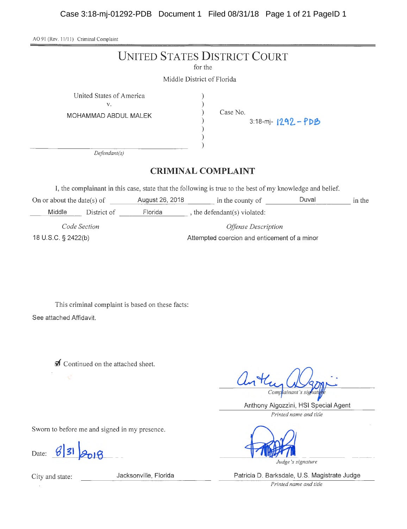Case 3:18-mj-01292-PDB Document 1 Filed 08/31/18 Page 1 of 21 PageID 1

AO 91 (Rev. 11/11) Criminal Complaint

|                                                                                                           | <b>UNITED STATES DISTRICT COURT</b>              | for the<br>Middle District of Florida        |                                  |       |        |
|-----------------------------------------------------------------------------------------------------------|--------------------------------------------------|----------------------------------------------|----------------------------------|-------|--------|
| United States of America<br>V.<br>MOHAMMAD ABDUL MALEK                                                    |                                                  |                                              | Case No.<br>$3:18-mj-1292 - PDB$ |       |        |
| Defendant(s)                                                                                              |                                                  |                                              |                                  |       |        |
|                                                                                                           |                                                  | <b>CRIMINAL COMPLAINT</b>                    |                                  |       |        |
| I, the complainant in this case, state that the following is true to the best of my knowledge and belief. |                                                  |                                              |                                  |       |        |
| On or about the date(s) of                                                                                | August 26, 2018 in the county of                 |                                              |                                  | Duval | in the |
| Middle                                                                                                    | District of Florida , the defendant(s) violated: |                                              |                                  |       |        |
| Code Section                                                                                              |                                                  | <b>Offense Description</b>                   |                                  |       |        |
| 18 U.S.C. § 2422(b)                                                                                       |                                                  | Attempted coercion and enticement of a minor |                                  |       |        |
|                                                                                                           |                                                  |                                              |                                  |       |        |

This criminal complaint is based on these facts: See attached Affidavit.

 $\triangle$  Continued on the attached sheet.

anthe Complainant's sighat

Anthony Algozzini, HSI Special Agent

*Printed name and title* 

Sworn to before me and signed in my presence.

Date: *B* **31** *B***<sub>D1</sub>** *B**J***<sub>D1</sub>** *B**Judge's signature* 

City and state: Jacksonville, Florida Patricia D. Barksdale, U.S. Magistrate Judge

*Printed name and title*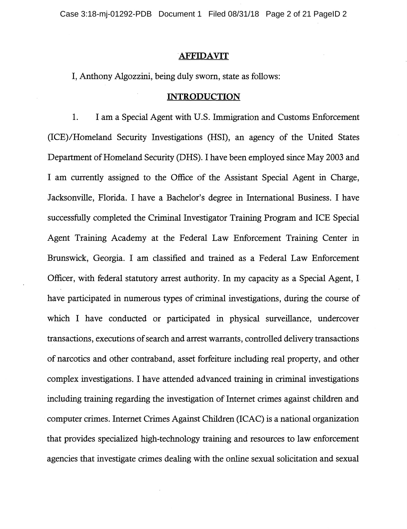Case 3:18-mj-01292-PDB Document 1 Filed 08/31/18 Page 2 of 21 PageID 2

## **.AFFIDAVIT**

I, Anthony Algozzini, being duly sworn, state as follows:

## **INTRODUCTION**

I. I am a Special Agent with U.S. Immigration and Customs Enforcement (ICE)/Homeland Security Investigations (HSI), an agency of the United States Department of Homeland Security (DHS). I have been employed since May 2003 and I am currently assigned to the Office of the Assistant Special Agent in Charge, Jacksonville, Florida. I have a Bachelor's degree in International Business. I have successfully completed the Criminal Investigator Training Program and ICE Special Agent Training Academy at the Federal Law Enforcement Training Center in Brunswick, Georgia. I am classified and trained as a Federal Law Enforcement Officer, with federal statutory arrest authority. In my capacity as a Special Agent, **l**  have participated in numerous types of criminal investigations, during the course of which I have conducted or participated in physical surveillance, undercover transactions, executions of search and arrest warrants, controlled delivery transactions of narcotics and other contraband, asset forfeiture including real property, and other complex investigations. I have attended advanced training in criminal investigations including training regarding the investigation of Internet crimes against children and computer crimes. Internet Crimes Against Children (ICAC) is a national organization that provides specialized high-technology training and resources to law enforcement agencies that investigate crimes dealing with the online sexual solicitation and sexual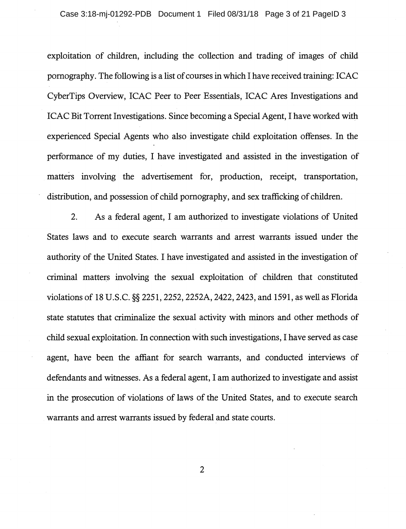exploitation of children, including the collection and trading of images of child pornography. The following is a list of courses in which I have received training: ICAC CyberTips Overview, ICAC Peer to Peer Essentials, ICAC Ares Investigations and ICAC Bit Torrent Investigations. Since becoming a Special Agent, I have worked with experienced Special Agents who also investigate child exploitation offenses. In the performance of my duties, I have investigated and assisted in the investigation of matters involving the advertisement for, production, receipt, transportation, distribution, and possession of child pornography, and sex trafficking of children.

2. As a federal agent, I am authorized to investigate violations of United States laws and to execute search warrants and arrest warrants issued under the authority of the United States. I have investigated and assisted in the investigation of criminal matters involving the sexual exploitation of children that constituted violations of 18 U.S.C. §§ 2251, 2252, 2252A, 2422, 2423, and 1591, as well as Florida state statutes that criminalize the sexual activity with minors and other methods of child sexual exploitation. In connection with such investigations, I have served as case agent, have been the affiant for search warrants, and conducted interviews of defendants and witnesses. As a federal agent, I am authorized to investigate and assist in the prosecution of violations of laws of the United States, and to execute search warrants and arrest warrants issued by federal and state courts.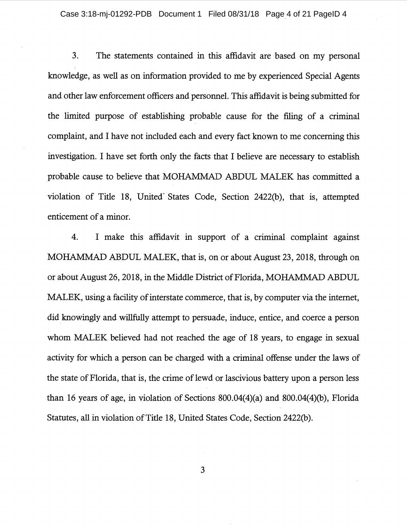3. The statements contained in this affidavit are based on my personal knowledge, as well as on information provided to me by experienced Special Agents and other law enforcement officers and personnel. This affidavit is being submitted for the limited purpose of establishing probable cause for the filing of a criminal complaint, and I have not included each and every fact known to me concerning this investigation. I have set forth only the facts that I believe are necessary to establish probable cause to believe that MOHAMMAD ABDUL MALEK has committed a violation of Title 18, United· States Code, Section 2422(b), that is, attempted enticement of a minor.

4. I make this affidavit in support of a criminal complaint against MOHAMMAD ABDUL MALEK, that is, on or about August 23, 2018, through on or about August 26, 2018, in the Middle District of Florida, MOHAMMAD ABDUL MALEK, using a facility of interstate commerce, that is, by computer via the internet, did knowingly and willfully attempt to persuade, induce, entice, and coerce a person whom MALEK believed had not reached the age of 18 years, to engage in sexual activity for which a person can be charged with a criminal offense under the laws of the state of Florida, that is, the crime of lewd or lascivious battery upon a person less than 16 years of age, in violation of Sections 800.04(4)(a) and 800.04(4)(b), Florida Statutes, all in violation of Title 18, United States Code, Section 2422(b).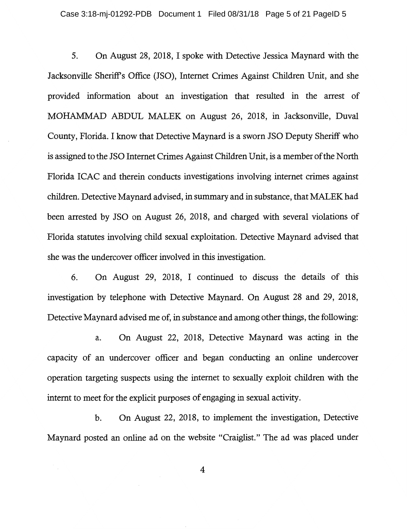5. On August 28, 2018, I spoke with Detective Jessica Maynard with the Jacksonville Sheriff's Office (JSO), Internet Crimes Against Children Unit, and she provided information about an investigation that resulted in the arrest of MOHAMMAD ABDUL MALEK on August 26, 2018, in Jacksonville, Duval County, Florida. I know that Detective Maynard is a sworn JSO Deputy Sheriff who is assigned to the JSO Internet Crimes Against Children Unit, is a member of the North Florida ICAC and therein conducts investigations involving internet crimes against children. Detective Maynard advised, in summary and in substance, that MALEK had been arrested by JSO on August 26, 2018, and charged with several violations of Florida statutes involving child sexual exploitation. Detective Maynard advised that she was the undercover officer involved in this investigation.

6. On August 29, 2018, I continued to discuss the details of this investigation by telephone with Detective Maynard. On August 28 and 29, 2018, Detective Maynard advised me of, in substance and among other things, the following:

a. On August 22, 2018, Detective Maynard was acting in the capacity of an undercover officer and began conducting an online undercover operation targeting suspects using the internet to sexually exploit children with the internt to meet for the explicit purposes of engaging in sexual activity.

b. On August 22, 2018, to implement the investigation, Detective Maynard posted an online ad on the website "Craiglist." The ad was placed under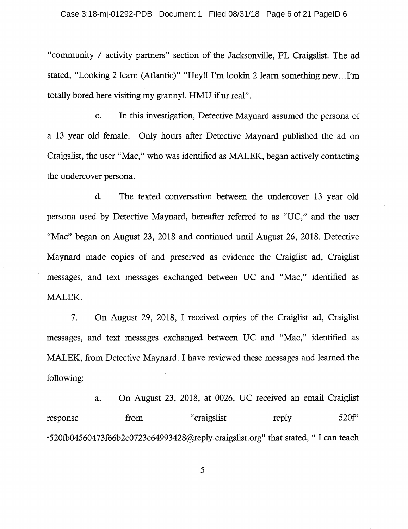"community *I* activity partners" section of the Jacksonville, FL Craigslist. The ad stated, "Looking 2 learn (Atlantic)" "Hey!! I'm lookin 2 learn something new .. .I'm totally bored here visiting my granny!. HMU if ur real".

c. In this investigation, Detective Maynard assumed the persona of a 13 year old female. Only hours after Detective Maynard published the ad on Craigslist, the user "Mac," who was identified as MALEK, began actively contacting the undercover persona.

d. The texted conversation between the undercover 13 year old persona used by Detective Maynard, hereafter referred to as "UC," and the user "Mac" began on August 23, 2018 and continued until August 26, 2018. Detective Maynard made copies of and preserved as evidence the Craiglist ad, Craiglist messages, and text messages exchanged between UC and "Mac," identified as MALEK.

7. On August 29, 2018, I received copies of the Craiglist ad, Craiglist messages, and text messages exchanged between UC and "Mac," identified as MALEK, from Detective Maynard. I have reviewed these messages and learned the following:

a. On August 23, 2018, at 0026, UC received an email Craiglist response from "craigslist reply 520f" "520fb04560473f66b2c0723c64993428@reply.craigslist.org" that stated, "I can teach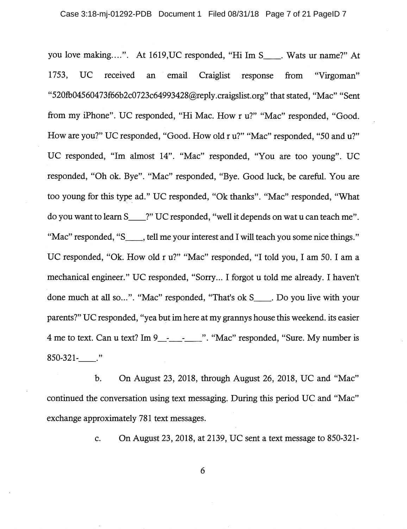you love making....". At 1619, UC responded, "Hi Im S \_\_\_. Wats ur name?" At 1753, UC received an email Craiglist response from "Virgoman" "520fb04560473f66b2c0723c64993428@reply.craigslist.org" that stated, "Mac" "Sent from my iPhone". UC responded, "Hi Mac. How r u?" "Mac" responded, "Good. How are you?" UC responded, "Good. How old r u?" "Mac" responded, "50 and u?" UC responded, "Im almost 14". "Mac" responded, "You are too young". UC responded, "Oh ok. Bye". "Mac" responded, "Bye. Good luck, be careful. You are too young for this type ad." UC responded, "Ok thanks". "Mac" responded, "What do you want to learn S\_\_\_\_?" UC responded, "well it depends on wat u can teach me". "Mac" responded, "S<sub>\_\_\_\_</sub>, tell me your interest and I will teach you some nice things." UC responded, "Ok. How old r u?" "Mac" responded, "I told you, I am 50. I am a mechanical engineer." UC responded, "Sorry ... I forgot u told me already. I haven't done much at all so...". "Mac" responded, "That's ok S<sub>\_\_\_\_</sub>. Do you live with your parents?" UC responded, "yea but im here at my grannys house this weekend. its easier 4 me to text. Can u text? Im 9\_\_\_\_\_\_\_\_\_\_\_\_\_". "Mac" responded, "Sure. My number is 850-321-\_."

b. On August 23, 2018, through August 26, 2018, UC and "Mac" continued the conversation using text messaging. During this period UC and "Mac" exchange approximately 781 text messages.

c. On August 23, 2018, at 2139, UC sent a text message to 850-321-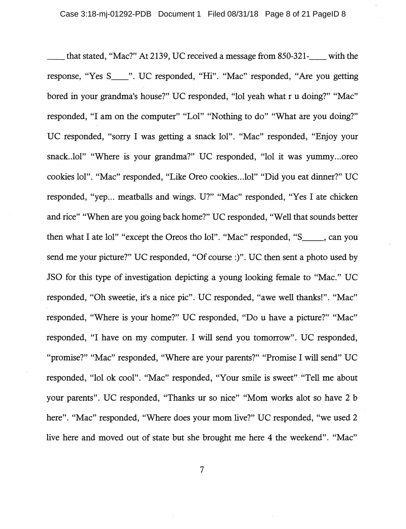that stated, "Mac?" At 2139, UC received a message from 850-321-\_\_ with the response, "Yes S \_\_ ". UC responded, "Hi". "Mac" responded, "Are you getting bored in your grandma's house?" UC responded, "lol yeah what r u doing?" "Mac" responded, "I am on the computer" "Loi" "Nothing to do" "What are you doing?" UC responded, "sorry I was getting a snack lol". "Mac" responded, "Enjoy your snack..lol" "Where is your grandma?" UC responded, "lol it was yummy...oreo cookies lol". "Mac" responded, "Like Oreo cookies .. Joi" "Did you eat dinner?" UC responded, "yep... meatballs and wings. U?" "Mac" responded, "Yes I ate chicken and rice" "When are you going back home?" UC responded, "Well that sounds better then what I ate lol" "except the Oreos tho lol". "Mac" responded, "S \_\_\_ , can you send me your picture?" UC responded, "Of course :)". UC then sent a photo used by JSO for this type of investigation depicting a young looking female to "Mac." UC responded, "Oh sweetie, it's a nice pie". UC responded, "awe well thanks!". "Mac" responded, "Where is your home?'' UC responded, "Do u have a picture?" "Mac" responded, "I have on my computer. I will send you tomorrow". UC responded, "promise?" "Mac" responded, "Where are your parents?" "Promise I will send" UC responded, "lol ok cool". "Mac" responded, "Your smile is sweet" "Tell me about your parents". UC responded, "Thanks ur so nice" "Mom works alot so have 2 b here". "Mac" responded, "Where does your mom live?" UC responded, "we used 2 live here and moved out of state but she brought me here 4 the weekend". "Mac"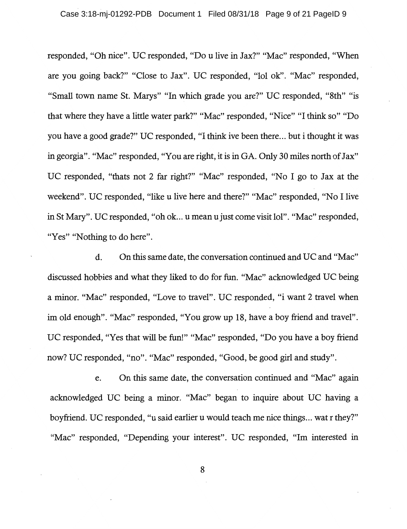responded, "Oh nice". UC responded, "Dou live in Jax?" "Mac" responded, "When are you going back?" "Close to Jax". UC responded, "lol ok". "Mac" responded, "Small town name St. Marys" "In which grade you are?" UC responded, "8th" "is that where they have a little water park?" "Mac" responded, "Nice" "I think so" "Do you have a good grade?" UC responded, "I think ive been there ... but i thought it was in georgia". "Mac" responded, "You are right, it is in GA. Only 30 miles north of Jax" UC responded, "thats not 2 far right?" "Mac" responded, "No I go to Jax at the weekend". UC responded, "like u live here and there?" "Mac" responded, "No I live in St Mary". UC responded, "oh ok. .. u mean u just come visit lol". "Mac" responded, "Yes" "Nothing to do here".

d. On this same date, the conversation continued and UC and "Mac" discussed hobbies and what they liked to do for fun. "Mac" acknowledged UC being a minor. "Mac" responded, "Love to travel". UC responded, "i want 2 travel when im old enough". "Mac" responded, "You grow up 18, have a boy friend and travel". UC responded, "Yes that will be fun!" "Mac" responded, "Do you have a boy friend now? UC responded, "no". "Mac" responded, "Good, be good girl and study".

e. On this same date, the conversation continued and "Mac" again acknowledged UC being a minor. "Mac" began to inquire about UC having a boyfriend. UC responded, "u said earlier u would teach me nice things ... wat r they?" "Mac" responded, "Depending your interest". UC responded, "Im interested in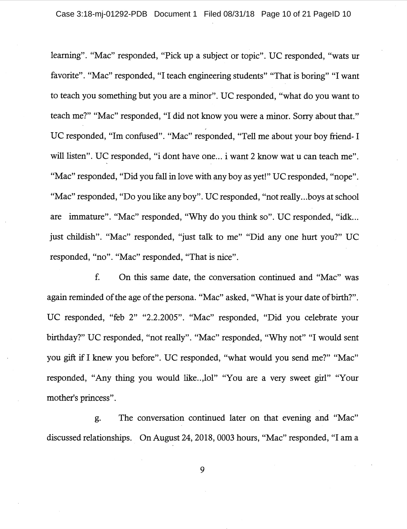learning". "Mac" responded, "Pick up a subject or topic". UC responded, "wats ur favorite". "Mac" responded, "I teach engineering students" "That is boring" "I want to teach you something but you are a minor". UC responded, "what do you want to teach me?" "Mac" responded, "I did not know you were a minor. Sorry about that." UC responded, "Im confused". "Mac" responded, "Tell me about your boy friend- I will listen". UC responded, "i dont have one... i want 2 know wat u can teach me". "Mac" responded, "Did you fall in love with any boy as yet!" UC responded, "nope". "Mac" responded, "Do you like any boy". UC responded, "not really...boys at school are immature". "Mac" responded, "Why do you think so". UC responded, "idk ... just childish". "Mac" responded, "just talk to me" "Did any one hurt you?" UC responded, "no". "Mac" responded, "That is nice".

f. On this same date, the conversation continued and "Mac" was again reminded of the age of the persona. "Mac" asked, "What is your date of birth?". UC responded, "feb 2" "2.2.2005". "Mac" responded, "Did you celebrate your birthday?" UC responded, "not really". "Mac" responded, "Why not" "I would sent you gift if I knew you before". UC responded, "what would you send me?" "Mac" responded, "Any thing you would like... lol" "You are a very sweet girl" "Your mother's princess".

g. The conversation continued later on that evening and "Mac" discussed relationships. On August 24, 2018, 0003 hours, "Mac" responded, "I am a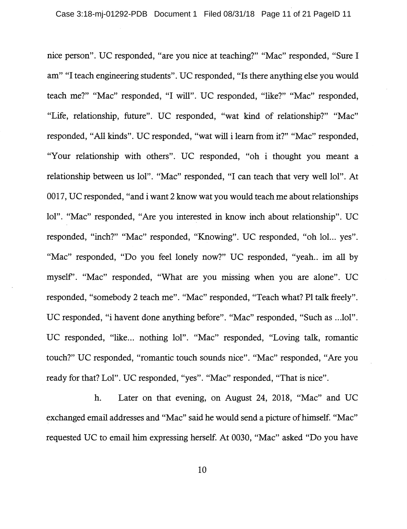nice person". UC responded, "are you nice at teaching?" "Mac" responded, "Sure I am" "I teach engineering students". UC responded, "Is there anything else you would teach me?" "Mac" responded, "I will". UC responded, "like?" "Mac" responded, "Life, relationship, future". UC responded, "wat kind of relationship?" "Mac" responded, "All kinds". UC responded, "wat will i learn from it?" "Mac" responded, "Your relationship with others". UC responded, "oh i thought you meant a relationship between us lol". "Mac" responded, "I can teach that very well lol". At 0017, UC responded, "and i want 2 know wat you would teach me about relationships lol". "Mac" responded, "Are you interested in know inch about relationship". UC responded, "inch?" "Mac" responded, "Knowing". UC responded, "oh lol... yes". "Mac" responded, "Do you feel lonely now?" UC responded, "yeah.. im all by myself'. "Mac" responded, "What are you missing when you are alone". UC responded, "somebody 2 teach me". "Mac" responded, "Teach what? Pl talk freely". UC responded, "i havent done anything before". "Mac" responded, "Such as ...lol". UC responded, "like... nothing lol". "Mac" responded, "Loving talk, romantic touch?" UC responded, "romantic touch sounds nice". "Mac" responded, "Are you ready for that? Lol". UC responded, "yes". "Mac" responded, "That is nice".

h. Later on that evening, on August 24, 2018, "Mac" and UC exchanged email addresses and "Mac" said he would send a picture of himself. "Mac" requested UC to email him expressing herself. At 0030, "Mac" asked "Do you have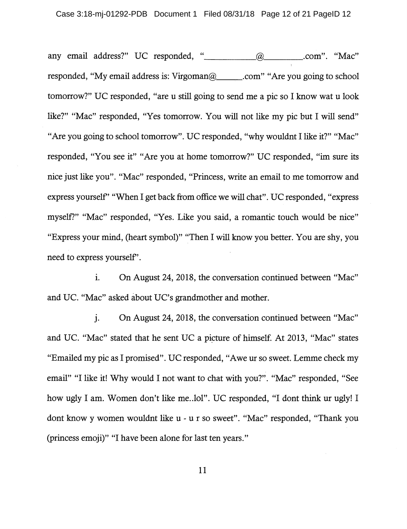any email address?" UC responded, "\_\_\_\_\_\_\_\_\_\_@\_\_\_\_\_\_\_\_\_\_.com". "Mac" responded, "My email address is: Virgoman@ \_\_\_\_\_\_.com" "Are you going to school tomorrow?" UC responded, "are u still going to send me a pie so I know wat u look like?" "Mac" responded, "Yes tomorrow. You will not like my pie but I will send" "Are you going to school tomorrow". UC responded, "why wouldnt I like it?" "Mac" responded, "You see it" "Are you at home tomorrow?" UC responded, "im sure its nice just like you". "Mac" responded, "Princess, write an email to me tomorrow and express yourself' "When I get back from office we will chat". UC responded, "express myself?" "Mac" responded, "Yes. Like you said, a romantic touch would be nice" "Express your mind, (heart symbol)" "Then I will know you better. You are shy, you need to express yourself'.

1. On August 24, 2018, the conversation continued between "Mac" and UC. "Mac" asked about UC's grandmother and mother.

j. On August 24, 2018, the conversation continued between "Mac" and UC. "Mac" stated that he sent UC a picture of himself. At 2013, "Mac" states "Emailed my pie as I promised". UC responded, "Awe ur so sweet. Lemme check my email" "I like it! Why would I not want to chat with you?". "Mac" responded, "See how ugly I am. Women don't like me..lol". UC responded, "I dont think ur ugly! I dont know y women wouldnt like u - u r so sweet". "Mac" responded, "Thank you (princess emoji)" "I have been alone for last ten years."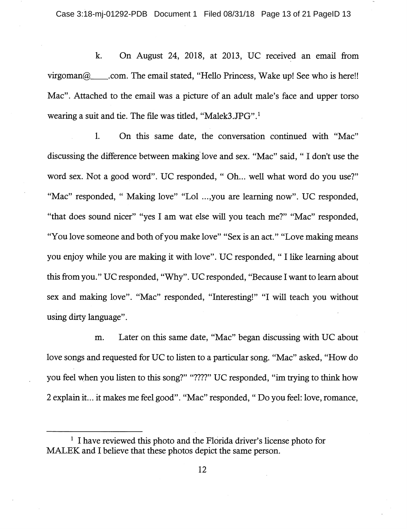k. On August 24, 2018, at 2013, UC received an email from virgoman $\omega$  .com. The email stated, "Hello Princess, Wake up! See who is here!! Mac". Attached to the email was a picture of an adult male's face and upper torso wearing a suit and tie. The file was titled, "Malek3.JPG" .1

1. On this same date, the conversation continued with "Mac" discussing the difference between making. love and sex. "Mac" said, " I don't use the word sex. Not a good word". UC responded, "Oh... well what word do you use?" "Mac" responded, " Making love" "Lol ... ,you are learning now". UC responded, "that does sound nicer" "yes I am wat else will you teach me?" "Mac" responded, "You love someone and both of you make love" "Sex is an act." "Love making means you enjoy while you are making it with love". UC responded, " I like learning about this from you." UC responded, "Why". UC responded, "Because I want to learn about sex and making love". "Mac" responded, "Interesting!" "I will teach you without using dirty language".

m. Later on this same date, "Mac" began discussing with UC about love songs and requested for UC to listen to a particular song. "Mac" asked, "How do you feel when you listen to this song?" "????" UC responded, "im trying to think how 2 explain it ... it makes me feel good". "Mac" responded, " Do you feel: love, romance,

<sup>&</sup>lt;sup>1</sup> I have reviewed this photo and the Florida driver's license photo for MALEK and I believe that these photos depict the same person.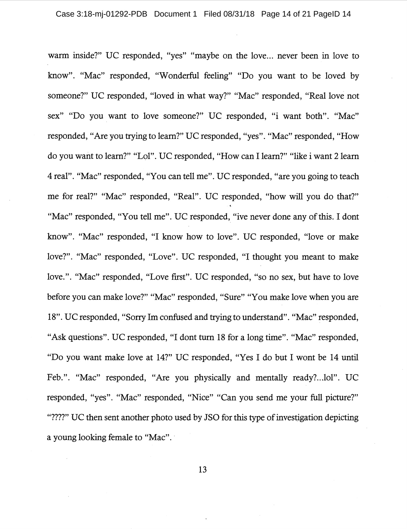warm inside?" UC responded, "yes" "maybe on the love... never been in love to know". "Mac" responded, "Wonderful feeling" "Do you want to be loved by someone?" UC responded, "loved in what way?" "Mac" responded, "Real love not sex" "Do you want to love someone?" UC responded, "i want both". "Mac" responded, "Are you trying to learn?" UC responded, "yes". "Mac" responded, "How do you want to learn?" "Lal". UC responded, "How can I learn?" "like i want 2 learn 4 real". "Mac" responded, "You can tell me". UC responded, "are you going to teach me for real?" "Mac" responded, "Real". UC responded, "how will you do that?" "Mac" responded, "You tell me". UC responded, "ive never done any of this. I dont know". "Mac" responded, "I know how to love". UC responded, "love or make love?". "Mac" responded, "Love". UC responded, "I thought you meant to make love.". "Mac" responded, "Love first". UC responded, "so no sex, but have to love before you can make love?" "Mac" responded, "Sure" "You make love when you are 18". UC responded, "Sorry Im confused and trying to understand". "Mac" responded, "Ask questions". UC responded, "I dont tum 18 for a long time". "Mac" responded, "Do you want make love at 14?" UC responded, "Yes I do but I wont be 14 until Feb.". "Mac" responded, "Are you physically and mentally ready?...lol". UC responded, "yes". "Mac" responded, "Nice" "Can you send me your full picture?" "????" UC then sent another photo used by JSO for this type of investigation depicting a young looking female to "Mac". ·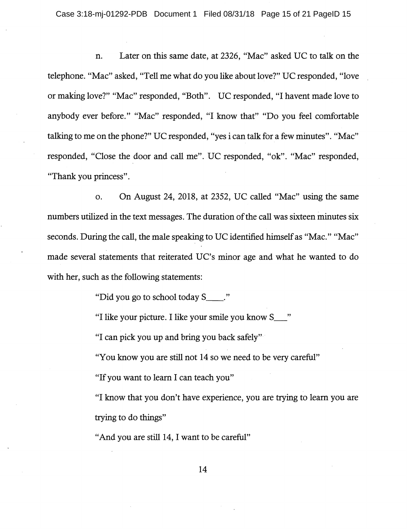n. Later on this same date, at 2326, "Mac" asked UC to talk on the telephone. "Mac" asked, "Tell me what do you like about love?" UC responded, "love or making love?" "Mac" responded, "Both". UC responded, "I havent made love to anybody ever before." "Mac" responded, "I know that" "Do you feel comfortable talking to me on the phone?" UC responded, "yes i can talk for a few minutes". "Mac" responded, "Close the door and call me". UC responded, "ok". "Mac" responded, "Thank you princess".

o. On August 24, 2018, at 2352, UC called "Mac" using the same numbers utilized in the text messages. The duration of the call was sixteen minutes six seconds. During the call, the male speaking to UC identified himself as "Mac." "Mac" made several statements that reiterated UC's minor age and what he wanted to do with her, such as the following statements:

"Did you go to school today S \_\_ ."

"I like your picture. I like your smile you know S\_"

"I can pick you up and bring you back safely"

"You know you are still not 14 so we need to be very careful"

"If you want to learn I can teach you"

"I know that you don't have experience, you are trying to learn you are trying to do things"

"And you are still 14, I want to be careful"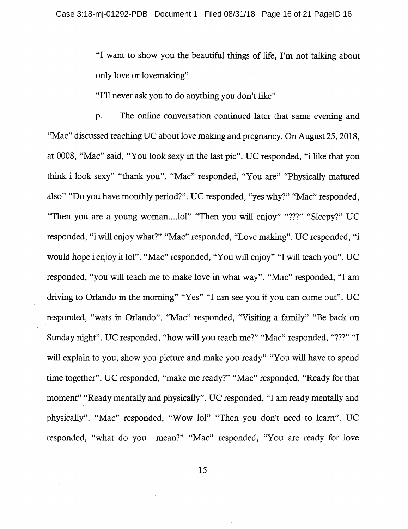"I want to show you the beautiful things of life, I'm not talking about only love or lovemaking"

"I'll never ask you to do anything you don't like"

p. The online conversation continued later that same evening and "Mac" discussed teaching UC about love making and pregnancy. On August 25, 2018, at 0008, "Mac" said, "You look sexy in the last pie". UC responded, "i like that you think i look sexy" "thank you". "Mac" responded, "You are" "Physically matured also" "Do you have monthly period?". UC responded, "yes why?" "Mac" responded, "Then you are a young woman....lol" "Then you will enjoy" "???" "Sleepy?" UC responded, "i will enjoy what?" "Mac" responded, "Love making". UC responded, "i would hope i enjoy it lol". "Mac" responded, "You will enjoy" "I will teach you". UC responded, "you will teach me to make love in what way". "Mac" responded, "I am driving to Orlando in the morning" "Yes" "I can see you if you can come out". UC responded, "wats in Orlando". "Mac" responded, "Visiting a family" "Be back on Sunday night". UC responded, "how will you teach me?" "Mac" responded, "???" "I will explain to you, show you picture and make you ready" "You will have to spend time together". UC responded, "make me ready?" "Mac" responded, "Ready for that moment" "Ready mentally and physically". UC responded, "I am ready mentally and physically". "Mac" responded, "Wow lol" "Then you don't need to learn". UC responded, "what do you mean?" "Mac" responded, "You are ready for love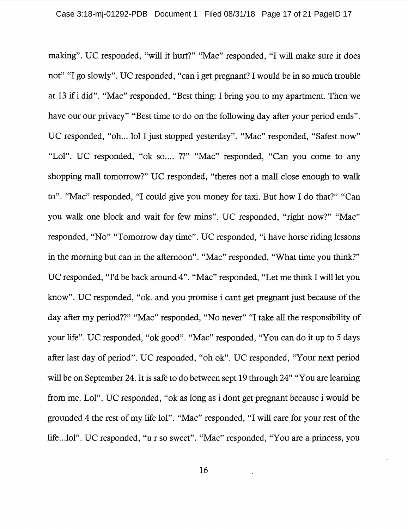making". UC responded, "will it hurt?" "Mac" responded, "I will make sure it does not" "I go slowly". UC responded, "can i get pregnant? I would be in so much trouble at 13 if i did". "Mac" responded, "Best thing: I bring you. to my apartment. Then we have our our privacy" "Best time to do on the following day after your period ends". UC responded, "oh... lol I just stopped yesterday". "Mac" responded, "Safest now" "Lal". UC responded, "ok so.... ??" "Mac" responded, "Can you come to any shopping mall tomorrow?" UC responded, "theres not a mall close enough to walk to". "Mac" responded, "I could give you money for taxi. But how I do that?" "Can you walk one block and wait for few mins". UC responded, "right now?" "Mac" responded, "No" "Tomorrow day time". UC responded, "i have horse riding lessons in the morning but can in the afternoon". "Mac" responded, "What time you think?" UC responded, "I'd be back around 4". "Mac" responded, "Let me think I will let you know". UC responded, "ok. and you promise i cant get pregnant just because of the day after my period??" "Mac" responded, "No never" "I take all the responsibility of your life". UC responded, "ok good". "Mac" responded, "You can do it up to 5 days after last day of period". UC responded, "oh ok". UC responded, "Your next period will be on September 24. It is safe to do between sept 19 through 24" "You are learning from me. Lal". UC responded, "ok as long as i dont get pregnant because i would be grounded 4 the rest of my life lol". "Mac" responded, "I will care for your rest of the life...lol". UC responded, "u r so sweet". "Mac" responded, "You are a princess, you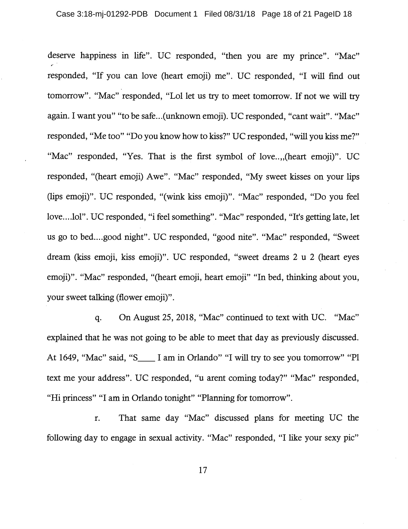deserve happiness in life". UC responded, "then you are my prince". "Mac" responded, "If you can love (heart emoji) me". UC responded, "I will find out tomorrow". "Mac" responded, "Lol let us try to meet tomorrow. If not we will try again. I want you" "to be safe... (unknown emoji). UC responded, "cant wait". "Mac" responded, "Me too" "Do you know how to kiss?" UC responded, "will you kiss me?" "Mac" responded, "Yes. That is the first symbol of love...,(heart emoji)". UC responded, "(heart emoji) Awe". "Mac" responded, "My sweet kisses on your lips (lips emoji)". UC responded, "(wink kiss emoji)". "Mac" responded, "Do you feel love.... lol". UC responded, "i feel something". "Mac" responded, "It's getting late, let us go to bed.... good night". UC responded, "good nite". "Mac" responded, "Sweet dream (kiss emoji, kiss emoji)". UC responded, "sweet dreams 2 u 2 (heart eyes emoji)". "Mac" responded, "(heart emoji, heart emoji" "In bed, thinking about you, your sweet talking (flower emoji)".

q. On August 25, 2018, "Mac" continued to text with UC. "Mac" explained that he was not going to be able to meet that day as previously discussed. At 1649, "Mac" said, "S<sub>\_\_\_\_</sub> I am in Orlando" "I will try to see you tomorrow" "Pl text me your address". UC responded, "u arent coming today?" "Mac" responded, "Hi princess" "I am in Orlando tonight" "Planning for tomorrow".

r. That same day "Mac" discussed plans for meeting UC the following day to engage in sexual activity. "Mac" responded, "I like your sexy pie"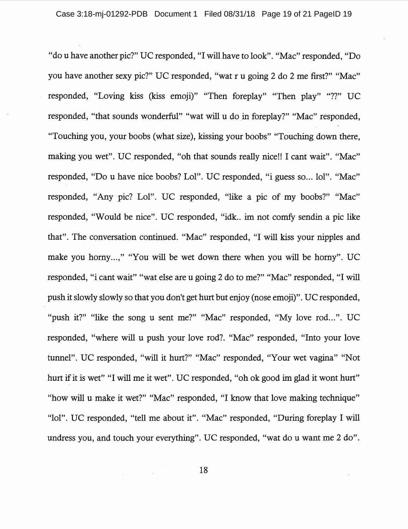"do u have another pie?" UC responded, "I will have to look". "Mac" responded, "Do you have another sexy pie?" UC responded, "wat r u going 2 do 2 me first?" "Mac" responded, "Loving kiss (kiss emoji)" "Then foreplay" "Then play" "??" UC responded, "that sounds wonderful" "wat will u do in foreplay?" "Mac" responded, "Touching you, your boobs (what size), kissing your boobs" "Touching down there, making you wet". UC responded, "oh that sounds really nice!! I cant wait". "Mac" responded, "Do u have nice boobs? Lol". UC responded, "i guess so... lol". "Mac" responded, "Any pie? Lol". UC responded, "like a pie of my boobs?" "Mac" responded, "Would be nice". UC responded, "idk.. im not comfy sendin a pie like that". The conversation continued. "Mac" responded, "I will kiss your nipples and make you horny...," "You will be wet down there when you will be horny". UC responded, "i cant wait" "wat else are u going 2 do to me?" "Mac" responded, "I will push it slowly slowly so that you don't get hurt but enjoy (nose emoji)". UC responded, "push it?" "like the song u sent me?" "Mac" responded, "My love rod...". UC responded, "where will u push your love rod?. "Mac" responded, "Into your love tunnel". UC responded, "will it hurt?" "Mac" responded, "Your wet vagina" "Not hurt if it is wet" "I will me it wet". UC responded, "oh ok good im glad it wont hurt" "how will u make it wet?" "Mac" responded, "I know that love making technique" "lol". UC responded, "tell me about it". "Mac" responded, "During foreplay I will undress you, and touch your everything". UC responded, "wat do u want me 2 do".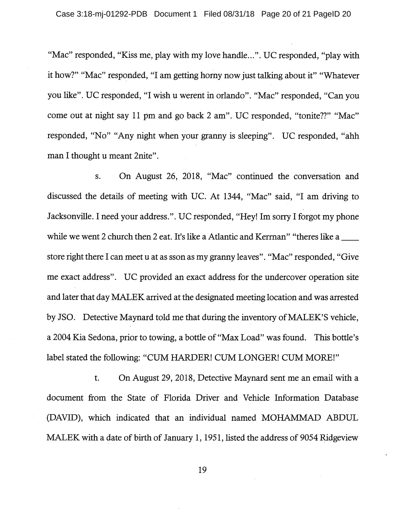"Mac" responded, "Kiss me, play with my love handle...". UC responded, "play with it how?" "Mac" responded, "I am getting horny now just talking about it" "Whatever you like". UC responded, "I wish u werent in orlando". "Mac" responded, "Can you come out at night say 11 pm and go back 2 am". UC responded, "tonite??" "Mac" responded, "No" "Any night when your granny is sleeping". UC responded, "ahh man I thought u meant 2nite".

s. On August 26, 2018, "Mac" continued the conversation and discussed the details of meeting with UC. At 1344, "Mac" said, "I am driving to Jacksonville. I need your address.". UC responded, "Hey! Im sorry I forgot my phone while we went 2 church then 2 eat. It's like a Atlantic and Kerman" "theres like a store right there I can meet u at as sson as my granny leaves". "Mac" responded, "Give me exact address". UC provided an exact address for the undercover operation site and later that day MALEK arrived at the designated meeting location and was arrested by JSO. Detective Maynard told me that during the inventory of MALEK'S vehicle, a 2004 Kia Sedona, prior to towing, a bottle of "Max Load" was found. This bottle's label stated the following: "CUM HARDER! CUM LONGER! CUM MORE!"

t. On August 29, 2018, Detective Maynard sent me an email with a document from the State of Florida Driver and Vehicle Information Database (DAVID), which indicated that an individual named MOHAMMAD ABDUL MALEK with a date of birth of January 1, 1951, listed the address of 9054 Ridgeview